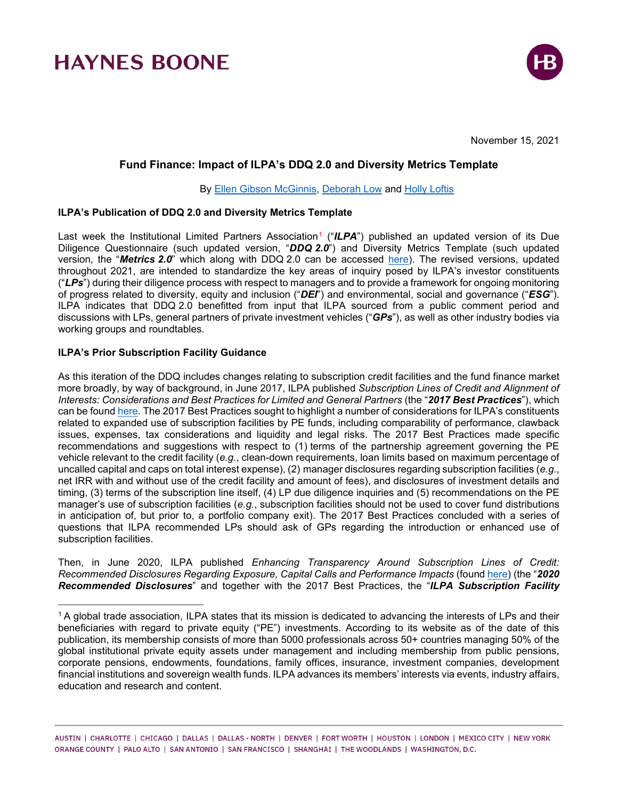

November 15, 2021

## **Fund Finance: Impact of ILPA's DDQ 2.0 and Diversity Metrics Template**

By [Ellen Gibson McGinnis,](https://www.haynesboone.com/people/mcginnis-ellen) [Deborah Low](https://www.haynesboone.com/people/low-deborah) and [Holly Loftis](https://www.haynesboone.com/people/loftis-holly)

### **ILPA's Publication of DDQ 2.0 and Diversity Metrics Template**

Last week the Institutional Limited Partners Association<sup>[1](#page-0-0)</sup> ("ILPA") published an updated version of its Due Diligence Questionnaire (such updated version, "*DDQ 2.0*") and Diversity Metrics Template (such updated version, the "*Metrics 2.0*" which along with DDQ 2.0 can be accessed [here\)](https://ilpa.org/due-diligence-questionnaire/). The revised versions, updated throughout 2021, are intended to standardize the key areas of inquiry posed by ILPA's investor constituents ("*LPs*") during their diligence process with respect to managers and to provide a framework for ongoing monitoring of progress related to diversity, equity and inclusion ("*DEI*") and environmental, social and governance ("*ESG*"). ILPA indicates that DDQ 2.0 benefitted from input that ILPA sourced from a public comment period and discussions with LPs, general partners of private investment vehicles ("*GPs*"), as well as other industry bodies via working groups and roundtables.

### **ILPA's Prior Subscription Facility Guidance**

As this iteration of the DDQ includes changes relating to subscription credit facilities and the fund finance market more broadly, by way of background, in June 2017, ILPA published *Subscription Lines of Credit and Alignment of Interests: Considerations and Best Practices for Limited and General Partners* (the "*2017 Best Practices*"), which can be found [here.](https://ilpa.org/wp-content/uploads/2020/06/ILPA-Subscription-Lines-of-Credit-and-Alignment-of-Interests-June-2017.pdf) The 2017 Best Practices sought to highlight a number of considerations for ILPA's constituents related to expanded use of subscription facilities by PE funds, including comparability of performance, clawback issues, expenses, tax considerations and liquidity and legal risks. The 2017 Best Practices made specific recommendations and suggestions with respect to (1) terms of the partnership agreement governing the PE vehicle relevant to the credit facility (*e.g.*, clean-down requirements, loan limits based on maximum percentage of uncalled capital and caps on total interest expense), (2) manager disclosures regarding subscription facilities (*e.g.*, net IRR with and without use of the credit facility and amount of fees), and disclosures of investment details and timing, (3) terms of the subscription line itself, (4) LP due diligence inquiries and (5) recommendations on the PE manager's use of subscription facilities (*e.g.*, subscription facilities should not be used to cover fund distributions in anticipation of, but prior to, a portfolio company exit). The 2017 Best Practices concluded with a series of questions that ILPA recommended LPs should ask of GPs regarding the introduction or enhanced use of subscription facilities.

Then, in June 2020, ILPA published *Enhancing Transparency Around Subscription Lines of Credit: Recommended Disclosures Regarding Exposure, Capital Calls and Performance Impacts* (found [here\)](https://ilpa.org/ilpa-guidance-on-disclosures-related-to-subscription-lines-of-credit_2020_final/) (the "*2020 Recommended Disclosures*" and together with the 2017 Best Practices, the "*ILPA Subscription Facility* 

<span id="page-0-0"></span><sup>1</sup> A global trade association, ILPA states that its mission is dedicated to advancing the interests of LPs and their beneficiaries with regard to private equity ("PE") investments. According to its website as of the date of this publication, its membership consists of more than 5000 professionals across 50+ countries managing 50% of the global institutional private equity assets under management and including membership from public pensions, corporate pensions, endowments, foundations, family offices, insurance, investment companies, development financial institutions and sovereign wealth funds. ILPA advances its members' interests via events, industry affairs, education and research and content.

AUSTIN | CHARLOTTE | CHICAGO | DALLAS | DALLAS - NORTH | DENVER | FORT WORTH | HOUSTON | LONDON | MEXICO CITY | NEW YORK ORANGE COUNTY | PALO ALTO | SAN ANTONIO | SAN FRANCISCO | SHANGHAI | THE WOODLANDS | WASHINGTON, D.C.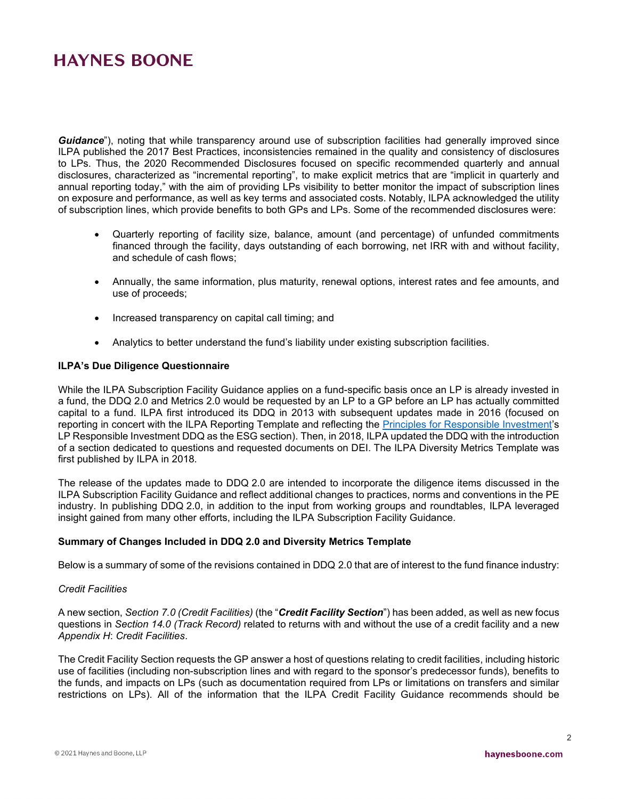*Guidance*"), noting that while transparency around use of subscription facilities had generally improved since ILPA published the 2017 Best Practices, inconsistencies remained in the quality and consistency of disclosures to LPs. Thus, the 2020 Recommended Disclosures focused on specific recommended quarterly and annual disclosures, characterized as "incremental reporting", to make explicit metrics that are "implicit in quarterly and annual reporting today," with the aim of providing LPs visibility to better monitor the impact of subscription lines on exposure and performance, as well as key terms and associated costs. Notably, ILPA acknowledged the utility of subscription lines, which provide benefits to both GPs and LPs. Some of the recommended disclosures were:

- Quarterly reporting of facility size, balance, amount (and percentage) of unfunded commitments financed through the facility, days outstanding of each borrowing, net IRR with and without facility, and schedule of cash flows;
- Annually, the same information, plus maturity, renewal options, interest rates and fee amounts, and use of proceeds;
- Increased transparency on capital call timing; and
- Analytics to better understand the fund's liability under existing subscription facilities.

#### **ILPA's Due Diligence Questionnaire**

While the ILPA Subscription Facility Guidance applies on a fund-specific basis once an LP is already invested in a fund, the DDQ 2.0 and Metrics 2.0 would be requested by an LP to a GP before an LP has actually committed capital to a fund. ILPA first introduced its DDQ in 2013 with subsequent updates made in 2016 (focused on reporting in concert with the ILPA Reporting Template and reflecting the [Principles for Responsible Investment'](https://www.unpri.org/private-equity/responsible-investment-ddq-for-private-equity-limited-partners/8730.article)s LP Responsible Investment DDQ as the ESG section). Then, in 2018, ILPA updated the DDQ with the introduction of a section dedicated to questions and requested documents on DEI. The ILPA Diversity Metrics Template was first published by ILPA in 2018.

The release of the updates made to DDQ 2.0 are intended to incorporate the diligence items discussed in the ILPA Subscription Facility Guidance and reflect additional changes to practices, norms and conventions in the PE industry. In publishing DDQ 2.0, in addition to the input from working groups and roundtables, ILPA leveraged insight gained from many other efforts, including the ILPA Subscription Facility Guidance.

### **Summary of Changes Included in DDQ 2.0 and Diversity Metrics Template**

Below is a summary of some of the revisions contained in DDQ 2.0 that are of interest to the fund finance industry:

#### *Credit Facilities*

A new section, *Section 7.0 (Credit Facilities)* (the "*Credit Facility Section*") has been added, as well as new focus questions in *Section 14.0 (Track Record)* related to returns with and without the use of a credit facility and a new *Appendix H*: *Credit Facilities*.

The Credit Facility Section requests the GP answer a host of questions relating to credit facilities, including historic use of facilities (including non-subscription lines and with regard to the sponsor's predecessor funds), benefits to the funds, and impacts on LPs (such as documentation required from LPs or limitations on transfers and similar restrictions on LPs). All of the information that the ILPA Credit Facility Guidance recommends should be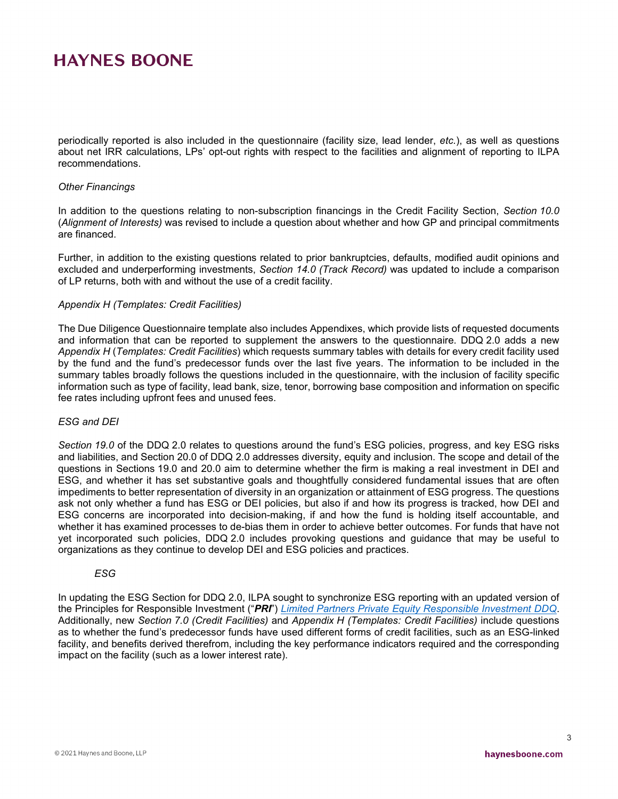periodically reported is also included in the questionnaire (facility size, lead lender, *etc.*), as well as questions about net IRR calculations, LPs' opt-out rights with respect to the facilities and alignment of reporting to ILPA recommendations.

#### *Other Financings*

In addition to the questions relating to non-subscription financings in the Credit Facility Section, *Section 10.0* (*Alignment of Interests)* was revised to include a question about whether and how GP and principal commitments are financed.

Further, in addition to the existing questions related to prior bankruptcies, defaults, modified audit opinions and excluded and underperforming investments, *Section 14.0 (Track Record)* was updated to include a comparison of LP returns, both with and without the use of a credit facility.

#### *Appendix H (Templates: Credit Facilities)*

The Due Diligence Questionnaire template also includes Appendixes, which provide lists of requested documents and information that can be reported to supplement the answers to the questionnaire. DDQ 2.0 adds a new *Appendix H* (*Templates: Credit Facilities*) which requests summary tables with details for every credit facility used by the fund and the fund's predecessor funds over the last five years. The information to be included in the summary tables broadly follows the questions included in the questionnaire, with the inclusion of facility specific information such as type of facility, lead bank, size, tenor, borrowing base composition and information on specific fee rates including upfront fees and unused fees.

### *ESG and DEI*

*Section 19.0* of the DDQ 2.0 relates to questions around the fund's ESG policies, progress, and key ESG risks and liabilities, and Section 20.0 of DDQ 2.0 addresses diversity, equity and inclusion. The scope and detail of the questions in Sections 19.0 and 20.0 aim to determine whether the firm is making a real investment in DEI and ESG, and whether it has set substantive goals and thoughtfully considered fundamental issues that are often impediments to better representation of diversity in an organization or attainment of ESG progress. The questions ask not only whether a fund has ESG or DEI policies, but also if and how its progress is tracked, how DEI and ESG concerns are incorporated into decision-making, if and how the fund is holding itself accountable, and whether it has examined processes to de-bias them in order to achieve better outcomes. For funds that have not yet incorporated such policies, DDQ 2.0 includes provoking questions and guidance that may be useful to organizations as they continue to develop DEI and ESG policies and practices.

#### *ESG*

In updating the ESG Section for DDQ 2.0, ILPA sought to synchronize ESG reporting with an updated version of the Principles for Responsible Investment ("*PRI*") *[Limited Partners Private Equity Responsible Investment DDQ](https://www.unpri.org/private-equity/responsible-investment-ddq-for-private-equity-limited-partners/8730.article)*. Additionally, new *Section 7.0 (Credit Facilities)* and *Appendix H (Templates: Credit Facilities)* include questions as to whether the fund's predecessor funds have used different forms of credit facilities, such as an ESG-linked facility, and benefits derived therefrom, including the key performance indicators required and the corresponding impact on the facility (such as a lower interest rate).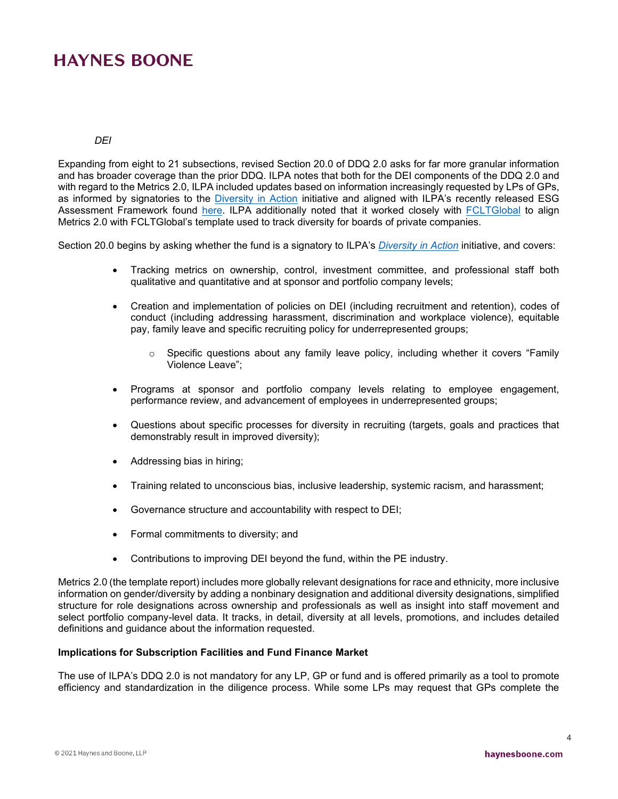### *DEI*

Expanding from eight to 21 subsections, revised Section 20.0 of DDQ 2.0 asks for far more granular information and has broader coverage than the prior DDQ. ILPA notes that both for the DEI components of the DDQ 2.0 and with regard to the Metrics 2.0, ILPA included updates based on information increasingly requested by LPs of GPs, as informed by signatories to the [Diversity in Action](https://ilpa.org/ilpa_diversityinaction/) initiative and aligned with ILPA's recently released ESG Assessment Framework found [here.](https://ilpa.org/ilpa-esg-assessment-framework/) ILPA additionally noted that it worked closely with [FCLTGlobal](https://www.fcltglobal.org/) to align Metrics 2.0 with FCLTGlobal's template used to track diversity for boards of private companies.

Section 20.0 begins by asking whether the fund is a signatory to ILPA's *[Diversity in Action](https://ilpa.org/ilpa_diversityinaction/)* initiative, and covers:

- Tracking metrics on ownership, control, investment committee, and professional staff both qualitative and quantitative and at sponsor and portfolio company levels;
- Creation and implementation of policies on DEI (including recruitment and retention), codes of conduct (including addressing harassment, discrimination and workplace violence), equitable pay, family leave and specific recruiting policy for underrepresented groups;
	- $\circ$  Specific questions about any family leave policy, including whether it covers "Family Violence Leave";
- Programs at sponsor and portfolio company levels relating to employee engagement, performance review, and advancement of employees in underrepresented groups;
- Questions about specific processes for diversity in recruiting (targets, goals and practices that demonstrably result in improved diversity);
- Addressing bias in hiring;
- Training related to unconscious bias, inclusive leadership, systemic racism, and harassment;
- Governance structure and accountability with respect to DEI;
- Formal commitments to diversity; and
- Contributions to improving DEI beyond the fund, within the PE industry.

Metrics 2.0 (the template report) includes more globally relevant designations for race and ethnicity, more inclusive information on gender/diversity by adding a nonbinary designation and additional diversity designations, simplified structure for role designations across ownership and professionals as well as insight into staff movement and select portfolio company-level data. It tracks, in detail, diversity at all levels, promotions, and includes detailed definitions and guidance about the information requested.

### **Implications for Subscription Facilities and Fund Finance Market**

The use of ILPA's DDQ 2.0 is not mandatory for any LP, GP or fund and is offered primarily as a tool to promote efficiency and standardization in the diligence process. While some LPs may request that GPs complete the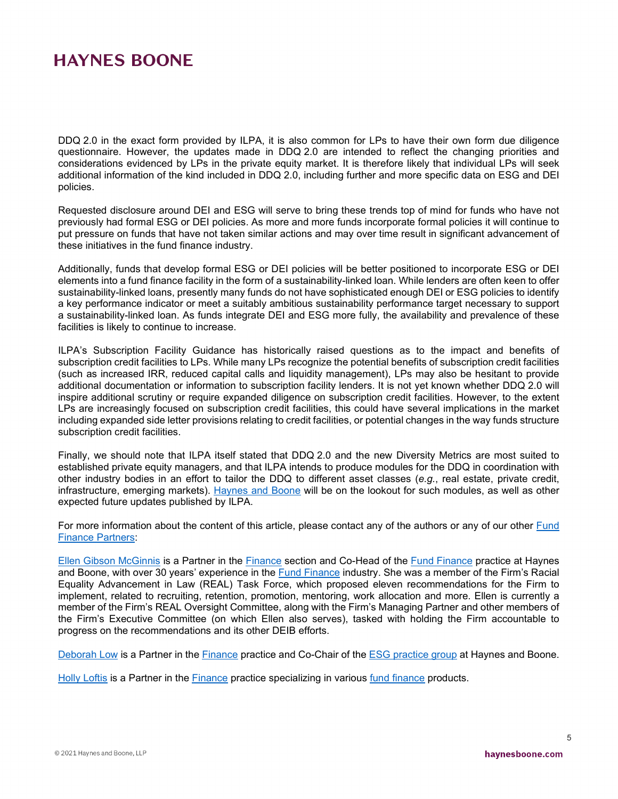DDQ 2.0 in the exact form provided by ILPA, it is also common for LPs to have their own form due diligence questionnaire. However, the updates made in DDQ 2.0 are intended to reflect the changing priorities and considerations evidenced by LPs in the private equity market. It is therefore likely that individual LPs will seek additional information of the kind included in DDQ 2.0, including further and more specific data on ESG and DEI policies.

Requested disclosure around DEI and ESG will serve to bring these trends top of mind for funds who have not previously had formal ESG or DEI policies. As more and more funds incorporate formal policies it will continue to put pressure on funds that have not taken similar actions and may over time result in significant advancement of these initiatives in the fund finance industry.

Additionally, funds that develop formal ESG or DEI policies will be better positioned to incorporate ESG or DEI elements into a fund finance facility in the form of a sustainability-linked loan. While lenders are often keen to offer sustainability-linked loans, presently many funds do not have sophisticated enough DEI or ESG policies to identify a key performance indicator or meet a suitably ambitious sustainability performance target necessary to support a sustainability-linked loan. As funds integrate DEI and ESG more fully, the availability and prevalence of these facilities is likely to continue to increase.

ILPA's Subscription Facility Guidance has historically raised questions as to the impact and benefits of subscription credit facilities to LPs. While many LPs recognize the potential benefits of subscription credit facilities (such as increased IRR, reduced capital calls and liquidity management), LPs may also be hesitant to provide additional documentation or information to subscription facility lenders. It is not yet known whether DDQ 2.0 will inspire additional scrutiny or require expanded diligence on subscription credit facilities. However, to the extent LPs are increasingly focused on subscription credit facilities, this could have several implications in the market including expanded side letter provisions relating to credit facilities, or potential changes in the way funds structure subscription credit facilities.

Finally, we should note that ILPA itself stated that DDQ 2.0 and the new Diversity Metrics are most suited to established private equity managers, and that ILPA intends to produce modules for the DDQ in coordination with other industry bodies in an effort to tailor the DDQ to different asset classes (*e.g.*, real estate, private credit, infrastructure, emerging markets). [Haynes and Boone](https://www.haynesboone.com/people/low-deborah) will be on the lookout for such modules, as well as other expected future updates published by ILPA.

For more information about the content of this article, please contact any of the authors or any of our other [Fund](https://www.haynesboone.com/experience/practices-and-industries/finance/fund-finance)  [Finance Partners:](https://www.haynesboone.com/experience/practices-and-industries/finance/fund-finance)

[Ellen Gibson McGinnis](https://www.haynesboone.com/people/mcginnis-ellen) is a Partner in the [Finance](https://www.haynesboone.com/experience/practices-and-industries/finance/finance) section and Co-Head of the [Fund Finance](https://www.haynesboone.com/experience/practices-and-industries/finance/fund-finance) practice at Haynes and Boone, with over 30 years' experience in the [Fund Finance](https://www.haynesboone.com/experience/practices-and-industries/finance/fund-finance) industry. She was a member of the Firm's Racial Equality Advancement in Law (REAL) Task Force, which proposed eleven recommendations for the Firm to implement, related to recruiting, retention, promotion, mentoring, work allocation and more. Ellen is currently a member of the Firm's REAL Oversight Committee, along with the Firm's Managing Partner and other members of the Firm's Executive Committee (on which Ellen also serves), tasked with holding the Firm accountable to progress on the recommendations and its other DEIB efforts.

[Deborah Low](https://www.haynesboone.com/people/low-deborah) is a Partner in the [Finance](https://www.haynesboone.com/experience/practices-and-industries/finance/finance) practice and Co-Chair of the [ESG practice group](https://www.haynesboone.com/experience/trending-issues/environmental-social-and-governance) at Haynes and Boone.

[Holly Loftis](https://www.haynesboone.com/people/loftis-holly) is a Partner in the [Finance](https://www.haynesboone.com/experience/practices-and-industries/finance/finance) practice specializing in various [fund finance](https://www.haynesboone.com/experience/practices-and-industries/finance/fund-finance) products.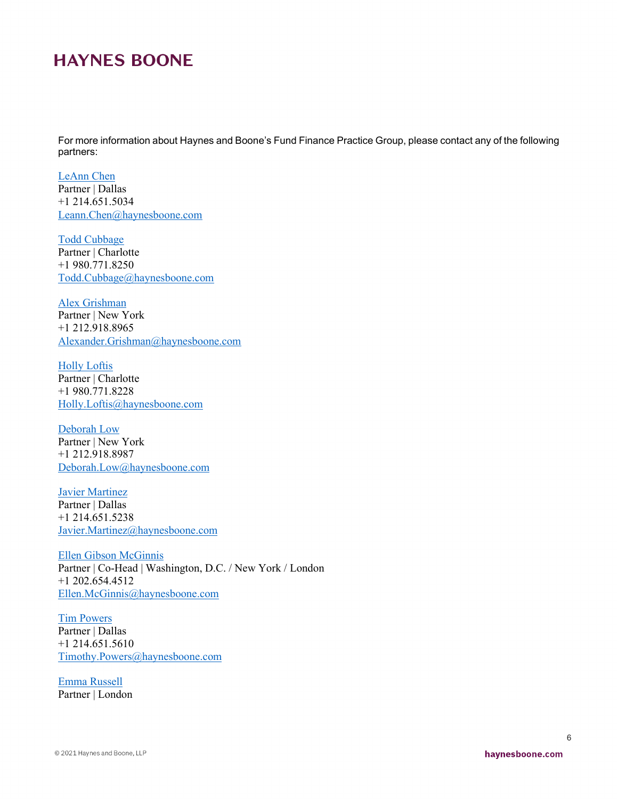For more information about Haynes and Boone's Fund Finance Practice Group, please contact any of the following partners:

[LeAnn Chen](https://www.haynesboone.com/people/chen-leann) Partner | Dallas +1 214.651.5034 [Leann.Chen@haynesboone.com](mailto:Leann.Chen@haynesboone.com)

[Todd Cubbage](https://www.haynesboone.com/people/cubbage-todd) Partner | Charlotte +1 980.771.8250 [Todd.Cubbage@haynesboone.com](mailto:Todd.Cubbage@haynesboone.com)

[Alex Grishman](https://www.haynesboone.com/people/grishman-alexander) Partner | New York +1 212.918.8965 [Alexander.Grishman@haynesboone.com](mailto:Alexander.Grishman@haynesboone.com)

[Holly Loftis](https://www.haynesboone.com/people/loftis-holly) Partner | Charlotte +1 980.771.8228 [Holly.Loftis@haynesboone.com](mailto:Holly.Loftis@haynesboone.com)

[Deborah Low](https://www.haynesboone.com/people/low-deborah) Partner | New York +1 212.918.8987 [Deborah.Low@haynesboone.com](mailto:Deborah.Low@haynesboone.com)

[Javier Martinez](https://www.haynesboone.com/people/martinez-javier) Partner | Dallas +1 214.651.5238 [Javier.Martinez@haynesboone.com](mailto:Javier.Martinez@haynesboone.com)

[Ellen Gibson McGinnis](https://www.haynesboone.com/people/mcginnis-ellen) Partner | Co-Head | Washington, D.C. / New York / London +1 202.654.4512 [Ellen.McGinnis@haynesboone.com](mailto:Ellen.McGinnis@haynesboone.com)

[Tim Powers](https://www.haynesboone.com/people/powers-timothy) Partner | Dallas +1 214.651.5610 [Timothy.Powers@haynesboone.com](mailto:Timothy.Powers@haynesboone.com)

[Emma Russell](https://www.haynesboone.com/people/russell-emma) Partner | London